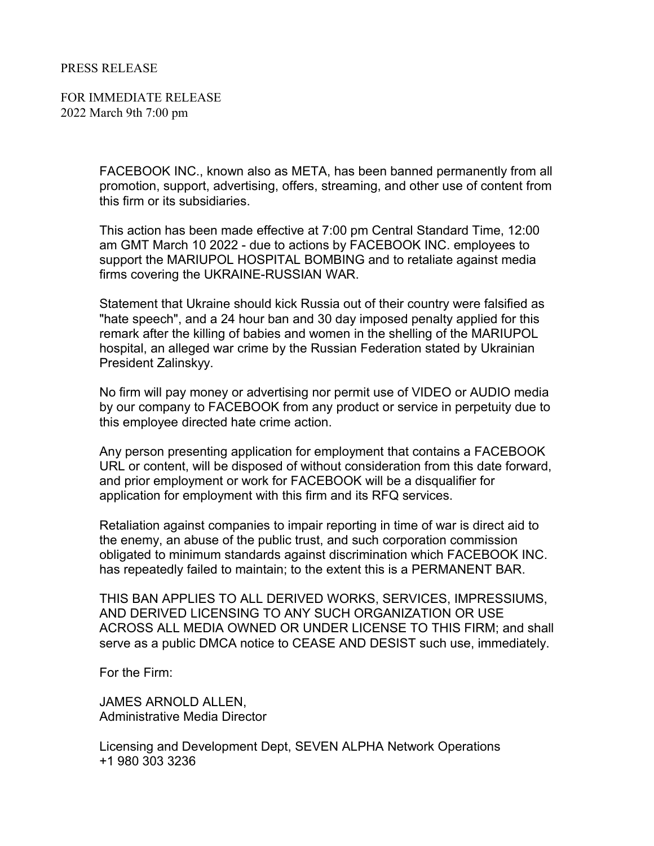## PRESS RELEASE

FOR IMMEDIATE RELEASE 2022 March 9th 7:00 pm

> FACEBOOK INC., known also as META, has been banned permanently from all promotion, support, advertising, offers, streaming, and other use of content from this firm or its subsidiaries.

This action has been made effective at 7:00 pm Central Standard Time, 12:00 am GMT March 10 2022 - due to actions by FACEBOOK INC. employees to support the MARIUPOL HOSPITAL BOMBING and to retaliate against media firms covering the UKRAINE-RUSSIAN WAR.

Statement that Ukraine should kick Russia out of their country were falsified as "hate speech", and a 24 hour ban and 30 day imposed penalty applied for this remark after the killing of babies and women in the shelling of the MARIUPOL hospital, an alleged war crime by the Russian Federation stated by Ukrainian President Zalinskyy.

No firm will pay money or advertising nor permit use of VIDEO or AUDIO media by our company to FACEBOOK from any product or service in perpetuity due to this employee directed hate crime action.

Any person presenting application for employment that contains a FACEBOOK URL or content, will be disposed of without consideration from this date forward, and prior employment or work for FACEBOOK will be a disqualifier for application for employment with this firm and its RFQ services.

Retaliation against companies to impair reporting in time of war is direct aid to the enemy, an abuse of the public trust, and such corporation commission obligated to minimum standards against discrimination which FACEBOOK INC. has repeatedly failed to maintain; to the extent this is a PERMANENT BAR.

THIS BAN APPLIES TO ALL DERIVED WORKS, SERVICES, IMPRESSIUMS, AND DERIVED LICENSING TO ANY SUCH ORGANIZATION OR USE ACROSS ALL MEDIA OWNED OR UNDER LICENSE TO THIS FIRM; and shall serve as a public DMCA notice to CEASE AND DESIST such use, immediately.

For the Firm:

JAMES ARNOLD ALLEN, Administrative Media Director

Licensing and Development Dept, SEVEN ALPHA Network Operations +1 980 303 3236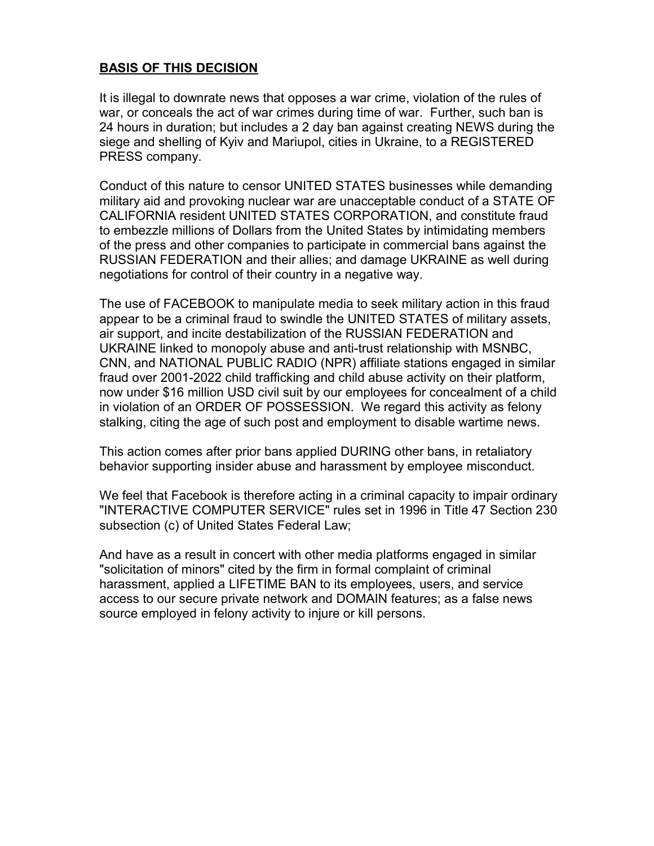## **BASIS OF THIS DECISION**

It is illegal to downrate news that opposes a war crime, violation of the rules of war, or conceals the act of war crimes during time of war. Further, such ban is 24 hours in duration; but includes a 2 day ban against creating NEWS during the siege and shelling of Kyiv and Mariupol, cities in Ukraine, to a REGISTERED PRESS company.

Conduct of this nature to censor UNITED STATES businesses while demanding military aid and provoking nuclear war are unacceptable conduct of a STATE OF CALIFORNIA resident UNITED STATES CORPORATION, and constitute fraud to embezzle millions of Dollars from the United States by intimidating members of the press and other companies to participate in commercial bans against the RUSSIAN FEDERATION and their allies; and damage UKRAINE as well during negotiations for control of their country in a negative way.

The use of FACEBOOK to manipulate media to seek military action in this fraud appear to be a criminal fraud to swindle the UNITED STATES of military assets, air support, and incite destabilization of the RUSSIAN FEDERATION and UKRAINE linked to monopoly abuse and anti-trust relationship with MSNBC, CNN, and NATIONAL PUBLIC RADIO (NPR) affiliate stations engaged in similar fraud over 2001-2022 child trafficking and child abuse activity on their platform, now under \$16 million USD civil suit by our employees for concealment of a child in violation of an ORDER OF POSSESSION. We regard this activity as felony stalking, citing the age of such post and employment to disable wartime news.

This action comes after prior bans applied DURING other bans, in retaliatory behavior supporting insider abuse and harassment by employee misconduct.

We feel that Facebook is therefore acting in a criminal capacity to impair ordinary "INTERACTIVE COMPUTER SERVICE" rules set in 1996 in Title 47 Section 230 subsection (c) of United States Federal Law;

And have as a result in concert with other media platforms engaged in similar "solicitation of minors" cited by the firm in formal complaint of criminal harassment, applied a LIFETIME BAN to its employees, users, and service access to our secure private network and DOMAIN features; as a false news source employed in felony activity to injure or kill persons.